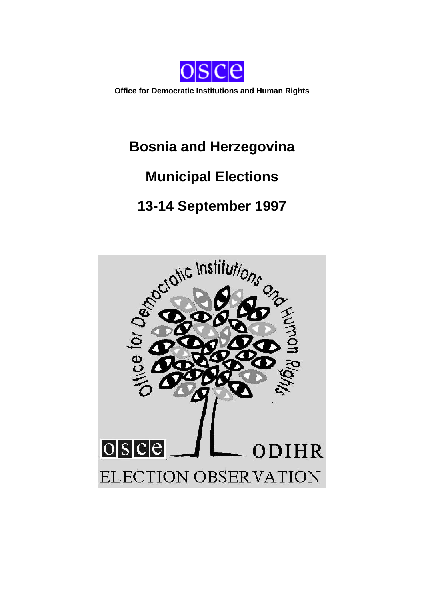

**Office for Democratic Institutions and Human Rights**

# **Bosnia and Herzegovina**

# **Municipal Elections**

# **13-14 September 1997**

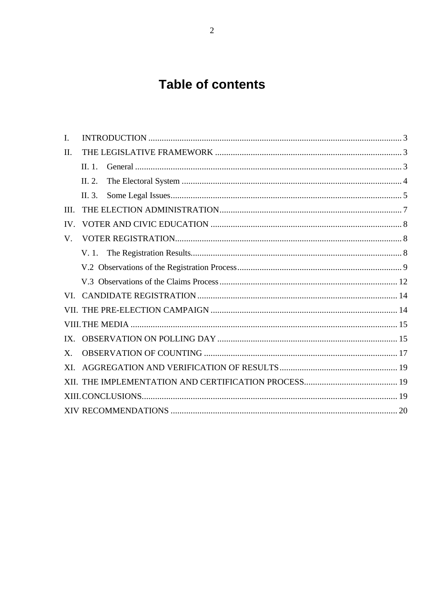# **Table of contents**

| I.  |            |  |
|-----|------------|--|
| II. |            |  |
|     | $\Pi$ , 1. |  |
|     | II. 2.     |  |
|     | II. 3.     |  |
| Ш.  |            |  |
| IV. |            |  |
| V.  |            |  |
|     |            |  |
|     |            |  |
|     |            |  |
| VL. |            |  |
|     |            |  |
|     |            |  |
| IX. |            |  |
| X.  |            |  |
| XI. |            |  |
|     |            |  |
|     |            |  |
|     |            |  |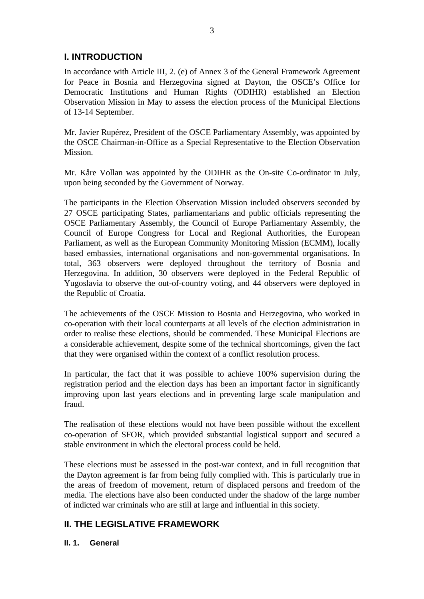# **I. INTRODUCTION**

In accordance with Article III, 2. (e) of Annex 3 of the General Framework Agreement for Peace in Bosnia and Herzegovina signed at Dayton, the OSCE's Office for Democratic Institutions and Human Rights (ODIHR) established an Election Observation Mission in May to assess the election process of the Municipal Elections of 13-14 September.

Mr. Javier Rupérez, President of the OSCE Parliamentary Assembly, was appointed by the OSCE Chairman-in-Office as a Special Representative to the Election Observation Mission.

Mr. Kåre Vollan was appointed by the ODIHR as the On-site Co-ordinator in July, upon being seconded by the Government of Norway.

The participants in the Election Observation Mission included observers seconded by 27 OSCE participating States, parliamentarians and public officials representing the OSCE Parliamentary Assembly, the Council of Europe Parliamentary Assembly, the Council of Europe Congress for Local and Regional Authorities, the European Parliament, as well as the European Community Monitoring Mission (ECMM), locally based embassies, international organisations and non-governmental organisations. In total, 363 observers were deployed throughout the territory of Bosnia and Herzegovina. In addition, 30 observers were deployed in the Federal Republic of Yugoslavia to observe the out-of-country voting, and 44 observers were deployed in the Republic of Croatia.

The achievements of the OSCE Mission to Bosnia and Herzegovina, who worked in co-operation with their local counterparts at all levels of the election administration in order to realise these elections, should be commended. These Municipal Elections are a considerable achievement, despite some of the technical shortcomings, given the fact that they were organised within the context of a conflict resolution process.

In particular, the fact that it was possible to achieve 100% supervision during the registration period and the election days has been an important factor in significantly improving upon last years elections and in preventing large scale manipulation and fraud.

The realisation of these elections would not have been possible without the excellent co-operation of SFOR, which provided substantial logistical support and secured a stable environment in which the electoral process could be held.

These elections must be assessed in the post-war context, and in full recognition that the Dayton agreement is far from being fully complied with. This is particularly true in the areas of freedom of movement, return of displaced persons and freedom of the media. The elections have also been conducted under the shadow of the large number of indicted war criminals who are still at large and influential in this society.

# **II. THE LEGISLATIVE FRAMEWORK**

# **II. 1. General**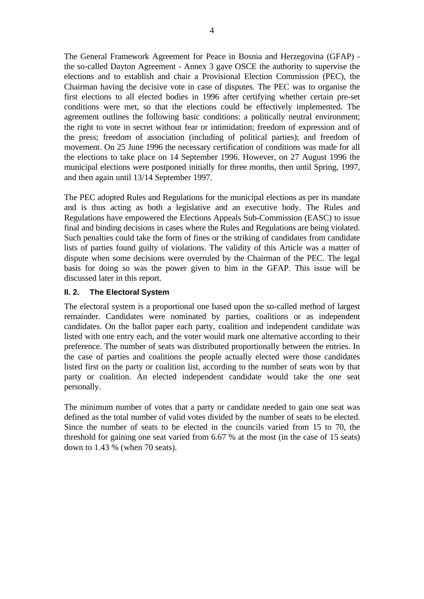The General Framework Agreement for Peace in Bosnia and Herzegovina (GFAP) the so-called Dayton Agreement - Annex 3 gave OSCE the authority to supervise the elections and to establish and chair a Provisional Election Commission (PEC), the Chairman having the decisive vote in case of disputes. The PEC was to organise the first elections to all elected bodies in 1996 after certifying whether certain pre-set conditions were met, so that the elections could be effectively implemented. The agreement outlines the following basic conditions: a politically neutral environment; the right to vote in secret without fear or intimidation; freedom of expression and of the press; freedom of association (including of political parties); and freedom of movement. On 25 June 1996 the necessary certification of conditions was made for all the elections to take place on 14 September 1996. However, on 27 August 1996 the municipal elections were postponed initially for three months, then until Spring, 1997, and then again until 13/14 September 1997.

The PEC adopted Rules and Regulations for the municipal elections as per its mandate and is thus acting as both a legislative and an executive body. The Rules and Regulations have empowered the Elections Appeals Sub-Commission (EASC) to issue final and binding decisions in cases where the Rules and Regulations are being violated. Such penalties could take the form of fines or the striking of candidates from candidate lists of parties found guilty of violations. The validity of this Article was a matter of dispute when some decisions were overruled by the Chairman of the PEC. The legal basis for doing so was the power given to him in the GFAP. This issue will be discussed later in this report.

## **II. 2. The Electoral System**

The electoral system is a proportional one based upon the so-called method of largest remainder. Candidates were nominated by parties, coalitions or as independent candidates. On the ballot paper each party, coalition and independent candidate was listed with one entry each, and the voter would mark one alternative according to their preference. The number of seats was distributed proportionally between the entries. In the case of parties and coalitions the people actually elected were those candidates listed first on the party or coalition list, according to the number of seats won by that party or coalition. An elected independent candidate would take the one seat personally.

The minimum number of votes that a party or candidate needed to gain one seat was defined as the total number of valid votes divided by the number of seats to be elected. Since the number of seats to be elected in the councils varied from 15 to 70, the threshold for gaining one seat varied from 6.67 % at the most (in the case of 15 seats) down to 1.43 % (when 70 seats).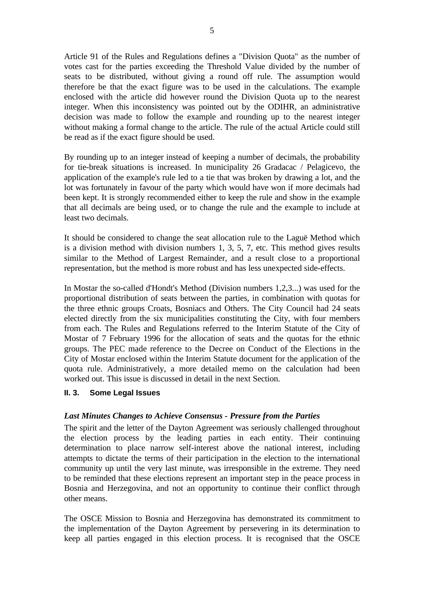Article 91 of the Rules and Regulations defines a "Division Quota" as the number of votes cast for the parties exceeding the Threshold Value divided by the number of seats to be distributed, without giving a round off rule. The assumption would therefore be that the exact figure was to be used in the calculations. The example enclosed with the article did however round the Division Quota up to the nearest integer. When this inconsistency was pointed out by the ODIHR, an administrative decision was made to follow the example and rounding up to the nearest integer without making a formal change to the article. The rule of the actual Article could still be read as if the exact figure should be used.

By rounding up to an integer instead of keeping a number of decimals, the probability for tie-break situations is increased. In municipality 26 Gradacac / Pelagicevo, the application of the example's rule led to a tie that was broken by drawing a lot, and the lot was fortunately in favour of the party which would have won if more decimals had been kept. It is strongly recommended either to keep the rule and show in the example that all decimals are being used, or to change the rule and the example to include at least two decimals.

It should be considered to change the seat allocation rule to the Laguë Method which is a division method with division numbers 1, 3, 5, 7, etc. This method gives results similar to the Method of Largest Remainder, and a result close to a proportional representation, but the method is more robust and has less unexpected side-effects.

In Mostar the so-called d'Hondt's Method (Division numbers 1,2,3...) was used for the proportional distribution of seats between the parties, in combination with quotas for the three ethnic groups Croats, Bosniacs and Others. The City Council had 24 seats elected directly from the six municipalities constituting the City, with four members from each. The Rules and Regulations referred to the Interim Statute of the City of Mostar of 7 February 1996 for the allocation of seats and the quotas for the ethnic groups. The PEC made reference to the Decree on Conduct of the Elections in the City of Mostar enclosed within the Interim Statute document for the application of the quota rule. Administratively, a more detailed memo on the calculation had been worked out. This issue is discussed in detail in the next Section.

#### **II. 3. Some Legal Issues**

#### *Last Minutes Changes to Achieve Consensus - Pressure from the Parties*

The spirit and the letter of the Dayton Agreement was seriously challenged throughout the election process by the leading parties in each entity. Their continuing determination to place narrow self-interest above the national interest, including attempts to dictate the terms of their participation in the election to the international community up until the very last minute, was irresponsible in the extreme. They need to be reminded that these elections represent an important step in the peace process in Bosnia and Herzegovina, and not an opportunity to continue their conflict through other means.

The OSCE Mission to Bosnia and Herzegovina has demonstrated its commitment to the implementation of the Dayton Agreement by persevering in its determination to keep all parties engaged in this election process. It is recognised that the OSCE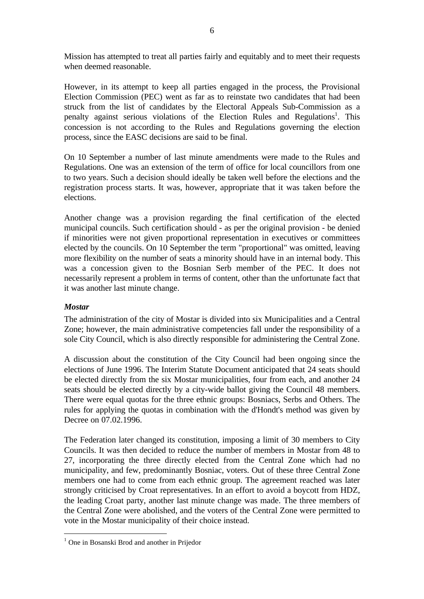Mission has attempted to treat all parties fairly and equitably and to meet their requests when deemed reasonable.

However, in its attempt to keep all parties engaged in the process, the Provisional Election Commission (PEC) went as far as to reinstate two candidates that had been struck from the list of candidates by the Electoral Appeals Sub-Commission as a penalty against serious violations of the Election Rules and Regulations<sup>1</sup>. This concession is not according to the Rules and Regulations governing the election process, since the EASC decisions are said to be final.

On 10 September a number of last minute amendments were made to the Rules and Regulations. One was an extension of the term of office for local councillors from one to two years. Such a decision should ideally be taken well before the elections and the registration process starts. It was, however, appropriate that it was taken before the elections.

Another change was a provision regarding the final certification of the elected municipal councils. Such certification should - as per the original provision - be denied if minorities were not given proportional representation in executives or committees elected by the councils. On 10 September the term "proportional" was omitted, leaving more flexibility on the number of seats a minority should have in an internal body. This was a concession given to the Bosnian Serb member of the PEC. It does not necessarily represent a problem in terms of content, other than the unfortunate fact that it was another last minute change.

#### *Mostar*

 $\overline{a}$ 

The administration of the city of Mostar is divided into six Municipalities and a Central Zone; however, the main administrative competencies fall under the responsibility of a sole City Council, which is also directly responsible for administering the Central Zone.

A discussion about the constitution of the City Council had been ongoing since the elections of June 1996. The Interim Statute Document anticipated that 24 seats should be elected directly from the six Mostar municipalities, four from each, and another 24 seats should be elected directly by a city-wide ballot giving the Council 48 members. There were equal quotas for the three ethnic groups: Bosniacs, Serbs and Others. The rules for applying the quotas in combination with the d'Hondt's method was given by Decree on 07.02.1996.

The Federation later changed its constitution, imposing a limit of 30 members to City Councils. It was then decided to reduce the number of members in Mostar from 48 to 27, incorporating the three directly elected from the Central Zone which had no municipality, and few, predominantly Bosniac, voters. Out of these three Central Zone members one had to come from each ethnic group. The agreement reached was later strongly criticised by Croat representatives. In an effort to avoid a boycott from HDZ, the leading Croat party, another last minute change was made. The three members of the Central Zone were abolished, and the voters of the Central Zone were permitted to vote in the Mostar municipality of their choice instead.

<sup>&</sup>lt;sup>1</sup> One in Bosanski Brod and another in Prijedor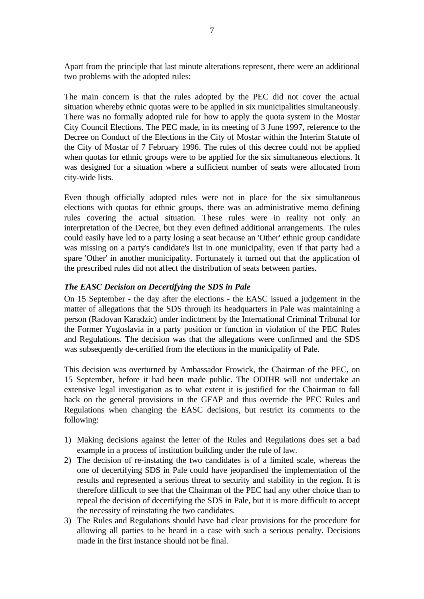Apart from the principle that last minute alterations represent, there were an additional two problems with the adopted rules:

The main concern is that the rules adopted by the PEC did not cover the actual situation whereby ethnic quotas were to be applied in six municipalities simultaneously. There was no formally adopted rule for how to apply the quota system in the Mostar City Council Elections. The PEC made, in its meeting of 3 June 1997, reference to the Decree on Conduct of the Elections in the City of Mostar within the Interim Statute of the City of Mostar of 7 February 1996. The rules of this decree could not be applied when quotas for ethnic groups were to be applied for the six simultaneous elections. It was designed for a situation where a sufficient number of seats were allocated from city-wide lists.

Even though officially adopted rules were not in place for the six simultaneous elections with quotas for ethnic groups, there was an administrative memo defining rules covering the actual situation. These rules were in reality not only an interpretation of the Decree, but they even defined additional arrangements. The rules could easily have led to a party losing a seat because an 'Other' ethnic group candidate was missing on a party's candidate's list in one municipality, even if that party had a spare 'Other' in another municipality. Fortunately it turned out that the application of the prescribed rules did not affect the distribution of seats between parties.

## *The EASC Decision on Decertifying the SDS in Pale*

On 15 September - the day after the elections - the EASC issued a judgement in the matter of allegations that the SDS through its headquarters in Pale was maintaining a person (Radovan Karadzic) under indictment by the International Criminal Tribunal for the Former Yugoslavia in a party position or function in violation of the PEC Rules and Regulations. The decision was that the allegations were confirmed and the SDS was subsequently de-certified from the elections in the municipality of Pale.

This decision was overturned by Ambassador Frowick, the Chairman of the PEC, on 15 September, before it had been made public. The ODIHR will not undertake an extensive legal investigation as to what extent it is justified for the Chairman to fall back on the general provisions in the GFAP and thus override the PEC Rules and Regulations when changing the EASC decisions, but restrict its comments to the following:

- 1) Making decisions against the letter of the Rules and Regulations does set a bad example in a process of institution building under the rule of law.
- 2) The decision of re-instating the two candidates is of a limited scale, whereas the one of decertifying SDS in Pale could have jeopardised the implementation of the results and represented a serious threat to security and stability in the region. It is therefore difficult to see that the Chairman of the PEC had any other choice than to repeal the decision of decertifying the SDS in Pale, but it is more difficult to accept the necessity of reinstating the two candidates.
- 3) The Rules and Regulations should have had clear provisions for the procedure for allowing all parties to be heard in a case with such a serious penalty. Decisions made in the first instance should not be final.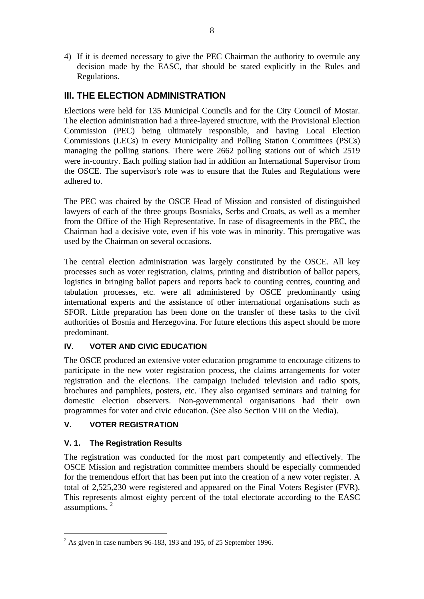4) If it is deemed necessary to give the PEC Chairman the authority to overrule any decision made by the EASC, that should be stated explicitly in the Rules and Regulations.

# **III. THE ELECTION ADMINISTRATION**

Elections were held for 135 Municipal Councils and for the City Council of Mostar. The election administration had a three-layered structure, with the Provisional Election Commission (PEC) being ultimately responsible, and having Local Election Commissions (LECs) in every Municipality and Polling Station Committees (PSCs) managing the polling stations. There were 2662 polling stations out of which 2519 were in-country. Each polling station had in addition an International Supervisor from the OSCE. The supervisor's role was to ensure that the Rules and Regulations were adhered to.

The PEC was chaired by the OSCE Head of Mission and consisted of distinguished lawyers of each of the three groups Bosniaks, Serbs and Croats, as well as a member from the Office of the High Representative. In case of disagreements in the PEC, the Chairman had a decisive vote, even if his vote was in minority. This prerogative was used by the Chairman on several occasions.

The central election administration was largely constituted by the OSCE. All key processes such as voter registration, claims, printing and distribution of ballot papers, logistics in bringing ballot papers and reports back to counting centres, counting and tabulation processes, etc. were all administered by OSCE predominantly using international experts and the assistance of other international organisations such as SFOR. Little preparation has been done on the transfer of these tasks to the civil authorities of Bosnia and Herzegovina. For future elections this aspect should be more predominant.

# **IV. VOTER AND CIVIC EDUCATION**

The OSCE produced an extensive voter education programme to encourage citizens to participate in the new voter registration process, the claims arrangements for voter registration and the elections. The campaign included television and radio spots, brochures and pamphlets, posters, etc. They also organised seminars and training for domestic election observers. Non-governmental organisations had their own programmes for voter and civic education. (See also Section VIII on the Media).

# **V. VOTER REGISTRATION**

# **V. 1. The Registration Results**

The registration was conducted for the most part competently and effectively. The OSCE Mission and registration committee members should be especially commended for the tremendous effort that has been put into the creation of a new voter register. A total of 2,525,230 were registered and appeared on the Final Voters Register (FVR). This represents almost eighty percent of the total electorate according to the EASC assumptions. <sup>2</sup>

 $\overline{a}$  $2^{2}$  As given in case numbers 96-183, 193 and 195, of 25 September 1996.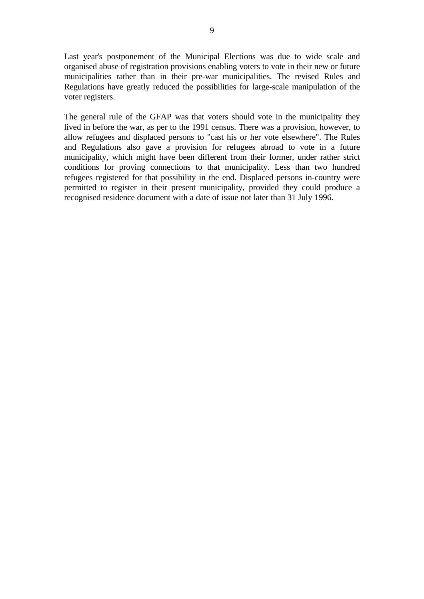Last year's postponement of the Municipal Elections was due to wide scale and organised abuse of registration provisions enabling voters to vote in their new or future municipalities rather than in their pre-war municipalities. The revised Rules and Regulations have greatly reduced the possibilities for large-scale manipulation of the voter registers.

The general rule of the GFAP was that voters should vote in the municipality they lived in before the war, as per to the 1991 census. There was a provision, however, to allow refugees and displaced persons to "cast his or her vote elsewhere". The Rules and Regulations also gave a provision for refugees abroad to vote in a future municipality, which might have been different from their former, under rather strict conditions for proving connections to that municipality. Less than two hundred refugees registered for that possibility in the end. Displaced persons in-country were permitted to register in their present municipality, provided they could produce a recognised residence document with a date of issue not later than 31 July 1996.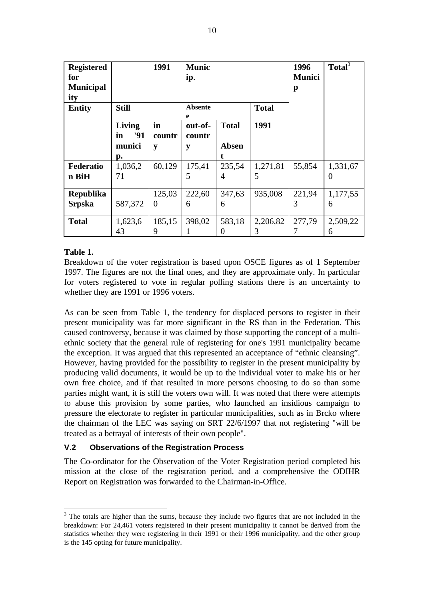| <b>Registered</b><br>for<br><b>Municipal</b><br>ity |                            | 1991         | <b>Munic</b><br>ip.    |                |              | 1996<br><b>Munici</b><br>p | Total <sup>3</sup> |
|-----------------------------------------------------|----------------------------|--------------|------------------------|----------------|--------------|----------------------------|--------------------|
| <b>Entity</b>                                       | <b>Still</b>               |              | <b>Absente</b>         |                | <b>Total</b> |                            |                    |
|                                                     | <b>Living</b><br>'91<br>in | in<br>countr | e<br>out-of-<br>countr | <b>Total</b>   | 1991         |                            |                    |
|                                                     | munici                     | y            | y                      | <b>Absen</b>   |              |                            |                    |
|                                                     | p.                         |              |                        |                |              |                            |                    |
| Federatio                                           | 1,036,2                    | 60,129       | 175,41                 | 235,54         | 1,271,81     | 55,854                     | 1,331,67           |
| n BiH                                               | 71                         |              | 5                      | $\overline{A}$ | 5            |                            | 0                  |
| <b>Republika</b>                                    |                            | 125,03       | 222,60                 | 347,63         | 935,008      | 221,94                     | 1,177,55           |
| <b>Srpska</b>                                       | 587,372                    | $\theta$     | 6                      | 6              |              | 3                          | 6                  |
| <b>Total</b>                                        | 1,623,6                    | 185,15       | 398,02                 | 583,18         | 2,206,82     | 277,79                     | 2,509,22           |
|                                                     | 43                         | 9            |                        | $\theta$       | 3            |                            | 6                  |

## **Table 1.**

 $\overline{a}$ 

Breakdown of the voter registration is based upon OSCE figures as of 1 September 1997. The figures are not the final ones, and they are approximate only. In particular for voters registered to vote in regular polling stations there is an uncertainty to whether they are 1991 or 1996 voters.

As can be seen from Table 1, the tendency for displaced persons to register in their present municipality was far more significant in the RS than in the Federation. This caused controversy, because it was claimed by those supporting the concept of a multiethnic society that the general rule of registering for one's 1991 municipality became the exception. It was argued that this represented an acceptance of "ethnic cleansing". However, having provided for the possibility to register in the present municipality by producing valid documents, it would be up to the individual voter to make his or her own free choice, and if that resulted in more persons choosing to do so than some parties might want, it is still the voters own will. It was noted that there were attempts to abuse this provision by some parties, who launched an insidious campaign to pressure the electorate to register in particular municipalities, such as in Brcko where the chairman of the LEC was saying on SRT 22/6/1997 that not registering "will be treated as a betrayal of interests of their own people".

# **V.2 Observations of the Registration Process**

The Co-ordinator for the Observation of the Voter Registration period completed his mission at the close of the registration period, and a comprehensive the ODIHR Report on Registration was forwarded to the Chairman-in-Office.

 $3$  The totals are higher than the sums, because they include two figures that are not included in the breakdown: For 24,461 voters registered in their present municipality it cannot be derived from the statistics whether they were registering in their 1991 or their 1996 municipality, and the other group is the 145 opting for future municipality.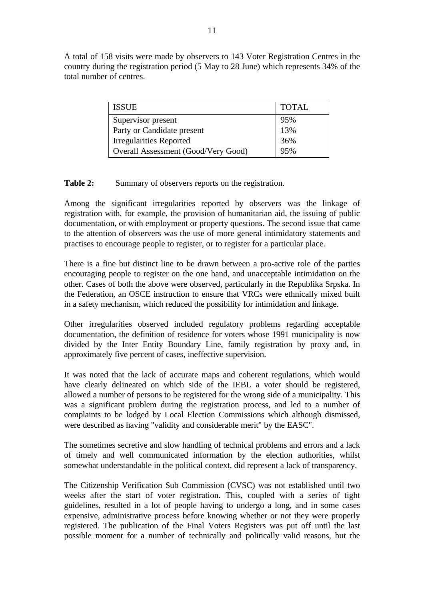A total of 158 visits were made by observers to 143 Voter Registration Centres in the country during the registration period (5 May to 28 June) which represents 34% of the total number of centres.

| <b>ISSUE</b>                        | <b>TOTAL</b> |
|-------------------------------------|--------------|
| Supervisor present                  | 95%          |
| Party or Candidate present          | 13%          |
| <b>Irregularities Reported</b>      | 36%          |
| Overall Assessment (Good/Very Good) | 95%          |

## **Table 2:** Summary of observers reports on the registration.

Among the significant irregularities reported by observers was the linkage of registration with, for example, the provision of humanitarian aid, the issuing of public documentation, or with employment or property questions. The second issue that came to the attention of observers was the use of more general intimidatory statements and practises to encourage people to register, or to register for a particular place.

There is a fine but distinct line to be drawn between a pro-active role of the parties encouraging people to register on the one hand, and unacceptable intimidation on the other. Cases of both the above were observed, particularly in the Republika Srpska. In the Federation, an OSCE instruction to ensure that VRCs were ethnically mixed built in a safety mechanism, which reduced the possibility for intimidation and linkage.

Other irregularities observed included regulatory problems regarding acceptable documentation, the definition of residence for voters whose 1991 municipality is now divided by the Inter Entity Boundary Line, family registration by proxy and, in approximately five percent of cases, ineffective supervision.

It was noted that the lack of accurate maps and coherent regulations, which would have clearly delineated on which side of the IEBL a voter should be registered, allowed a number of persons to be registered for the wrong side of a municipality. This was a significant problem during the registration process, and led to a number of complaints to be lodged by Local Election Commissions which although dismissed, were described as having "validity and considerable merit" by the EASC".

The sometimes secretive and slow handling of technical problems and errors and a lack of timely and well communicated information by the election authorities, whilst somewhat understandable in the political context, did represent a lack of transparency.

The Citizenship Verification Sub Commission (CVSC) was not established until two weeks after the start of voter registration. This, coupled with a series of tight guidelines, resulted in a lot of people having to undergo a long, and in some cases expensive, administrative process before knowing whether or not they were properly registered. The publication of the Final Voters Registers was put off until the last possible moment for a number of technically and politically valid reasons, but the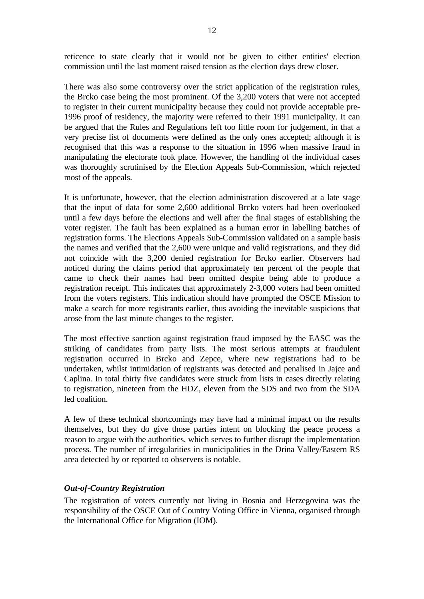reticence to state clearly that it would not be given to either entities' election commission until the last moment raised tension as the election days drew closer.

There was also some controversy over the strict application of the registration rules, the Brcko case being the most prominent. Of the 3,200 voters that were not accepted to register in their current municipality because they could not provide acceptable pre-1996 proof of residency, the majority were referred to their 1991 municipality. It can be argued that the Rules and Regulations left too little room for judgement, in that a very precise list of documents were defined as the only ones accepted; although it is recognised that this was a response to the situation in 1996 when massive fraud in manipulating the electorate took place. However, the handling of the individual cases was thoroughly scrutinised by the Election Appeals Sub-Commission, which rejected most of the appeals.

It is unfortunate, however, that the election administration discovered at a late stage that the input of data for some 2,600 additional Brcko voters had been overlooked until a few days before the elections and well after the final stages of establishing the voter register. The fault has been explained as a human error in labelling batches of registration forms. The Elections Appeals Sub-Commission validated on a sample basis the names and verified that the 2,600 were unique and valid registrations, and they did not coincide with the 3,200 denied registration for Brcko earlier. Observers had noticed during the claims period that approximately ten percent of the people that came to check their names had been omitted despite being able to produce a registration receipt. This indicates that approximately 2-3,000 voters had been omitted from the voters registers. This indication should have prompted the OSCE Mission to make a search for more registrants earlier, thus avoiding the inevitable suspicions that arose from the last minute changes to the register.

The most effective sanction against registration fraud imposed by the EASC was the striking of candidates from party lists. The most serious attempts at fraudulent registration occurred in Brcko and Zepce, where new registrations had to be undertaken, whilst intimidation of registrants was detected and penalised in Jajce and Caplina. In total thirty five candidates were struck from lists in cases directly relating to registration, nineteen from the HDZ, eleven from the SDS and two from the SDA led coalition.

A few of these technical shortcomings may have had a minimal impact on the results themselves, but they do give those parties intent on blocking the peace process a reason to argue with the authorities, which serves to further disrupt the implementation process. The number of irregularities in municipalities in the Drina Valley/Eastern RS area detected by or reported to observers is notable.

#### *Out-of-Country Registration*

The registration of voters currently not living in Bosnia and Herzegovina was the responsibility of the OSCE Out of Country Voting Office in Vienna, organised through the International Office for Migration (IOM).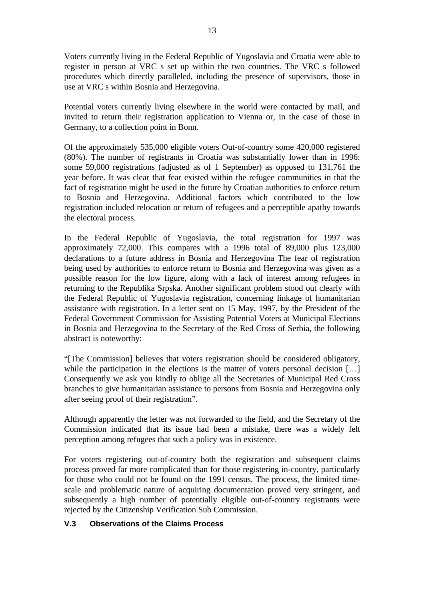Voters currently living in the Federal Republic of Yugoslavia and Croatia were able to register in person at VRC s set up within the two countries. The VRC s followed procedures which directly paralleled, including the presence of supervisors, those in use at VRC s within Bosnia and Herzegovina.

Potential voters currently living elsewhere in the world were contacted by mail, and invited to return their registration application to Vienna or, in the case of those in Germany, to a collection point in Bonn.

Of the approximately 535,000 eligible voters Out-of-country some 420,000 registered (80%). The number of registrants in Croatia was substantially lower than in 1996: some 59,000 registrations (adjusted as of 1 September) as opposed to 131,761 the year before. It was clear that fear existed within the refugee communities in that the fact of registration might be used in the future by Croatian authorities to enforce return to Bosnia and Herzegovina. Additional factors which contributed to the low registration included relocation or return of refugees and a perceptible apathy towards the electoral process.

In the Federal Republic of Yugoslavia, the total registration for 1997 was approximately 72,000. This compares with a 1996 total of 89,000 plus 123,000 declarations to a future address in Bosnia and Herzegovina The fear of registration being used by authorities to enforce return to Bosnia and Herzegovina was given as a possible reason for the low figure, along with a lack of interest among refugees in returning to the Republika Srpska. Another significant problem stood out clearly with the Federal Republic of Yugoslavia registration, concerning linkage of humanitarian assistance with registration. In a letter sent on 15 May, 1997, by the President of the Federal Government Commission for Assisting Potential Voters at Municipal Elections in Bosnia and Herzegovina to the Secretary of the Red Cross of Serbia, the following abstract is noteworthy:

"[The Commission] believes that voters registration should be considered obligatory, while the participation in the elections is the matter of voters personal decision [...] Consequently we ask you kindly to oblige all the Secretaries of Municipal Red Cross branches to give humanitarian assistance to persons from Bosnia and Herzegovina only after seeing proof of their registration".

Although apparently the letter was not forwarded to the field, and the Secretary of the Commission indicated that its issue had been a mistake, there was a widely felt perception among refugees that such a policy was in existence.

For voters registering out-of-country both the registration and subsequent claims process proved far more complicated than for those registering in-country, particularly for those who could not be found on the 1991 census. The process, the limited timescale and problematic nature of acquiring documentation proved very stringent, and subsequently a high number of potentially eligible out-of-country registrants were rejected by the Citizenship Verification Sub Commission.

# **V.3 Observations of the Claims Process**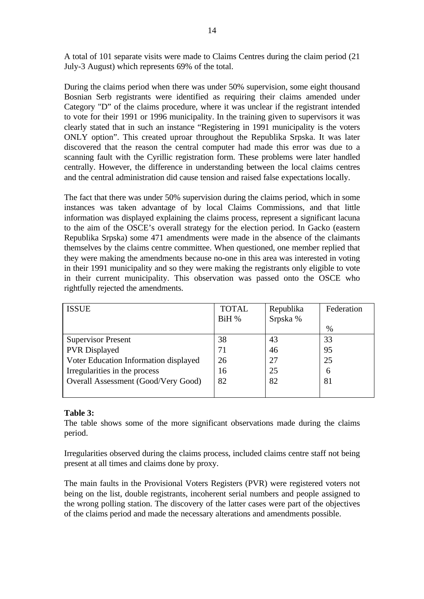A total of 101 separate visits were made to Claims Centres during the claim period (21 July-3 August) which represents 69% of the total.

During the claims period when there was under 50% supervision, some eight thousand Bosnian Serb registrants were identified as requiring their claims amended under Category "D" of the claims procedure, where it was unclear if the registrant intended to vote for their 1991 or 1996 municipality. In the training given to supervisors it was clearly stated that in such an instance "Registering in 1991 municipality is the voters ONLY option". This created uproar throughout the Republika Srpska. It was later discovered that the reason the central computer had made this error was due to a scanning fault with the Cyrillic registration form. These problems were later handled centrally. However, the difference in understanding between the local claims centres and the central administration did cause tension and raised false expectations locally.

The fact that there was under 50% supervision during the claims period, which in some instances was taken advantage of by local Claims Commissions, and that little information was displayed explaining the claims process, represent a significant lacuna to the aim of the OSCE's overall strategy for the election period. In Gacko (eastern Republika Srpska) some 471 amendments were made in the absence of the claimants themselves by the claims centre committee. When questioned, one member replied that they were making the amendments because no-one in this area was interested in voting in their 1991 municipality and so they were making the registrants only eligible to vote in their current municipality. This observation was passed onto the OSCE who rightfully rejected the amendments.

| <b>ISSUE</b>                          | <b>TOTAL</b> | Republika | Federation |
|---------------------------------------|--------------|-----------|------------|
|                                       | BiH %        | Srpska %  |            |
|                                       |              |           | $\%$       |
| <b>Supervisor Present</b>             | 38           | 43        | 33         |
| <b>PVR</b> Displayed                  | 71           | 46        | 95         |
| Voter Education Information displayed | 26           | 27        | 25         |
| Irregularities in the process         | 16           | 25        | 6          |
| Overall Assessment (Good/Very Good)   | 82           | 82        | 81         |
|                                       |              |           |            |

#### **Table 3:**

The table shows some of the more significant observations made during the claims period.

Irregularities observed during the claims process, included claims centre staff not being present at all times and claims done by proxy.

The main faults in the Provisional Voters Registers (PVR) were registered voters not being on the list, double registrants, incoherent serial numbers and people assigned to the wrong polling station. The discovery of the latter cases were part of the objectives of the claims period and made the necessary alterations and amendments possible.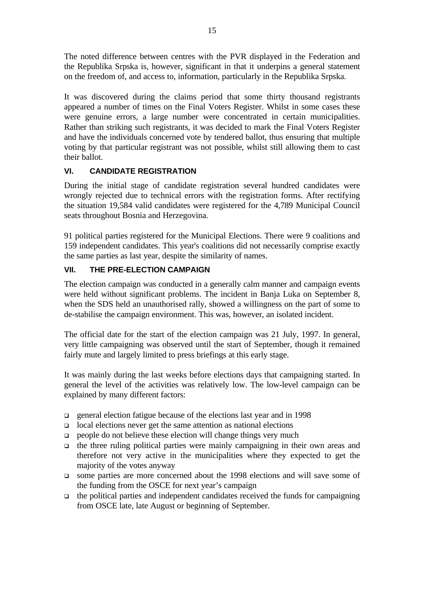The noted difference between centres with the PVR displayed in the Federation and the Republika Srpska is, however, significant in that it underpins a general statement on the freedom of, and access to, information, particularly in the Republika Srpska.

It was discovered during the claims period that some thirty thousand registrants appeared a number of times on the Final Voters Register. Whilst in some cases these were genuine errors, a large number were concentrated in certain municipalities. Rather than striking such registrants, it was decided to mark the Final Voters Register and have the individuals concerned vote by tendered ballot, thus ensuring that multiple voting by that particular registrant was not possible, whilst still allowing them to cast their ballot.

# **VI. CANDIDATE REGISTRATION**

During the initial stage of candidate registration several hundred candidates were wrongly rejected due to technical errors with the registration forms. After rectifying the situation 19,584 valid candidates were registered for the 4,789 Municipal Council seats throughout Bosnia and Herzegovina.

91 political parties registered for the Municipal Elections. There were 9 coalitions and 159 independent candidates. This year's coalitions did not necessarily comprise exactly the same parties as last year, despite the similarity of names.

# **VII. THE PRE-ELECTION CAMPAIGN**

The election campaign was conducted in a generally calm manner and campaign events were held without significant problems. The incident in Banja Luka on September 8, when the SDS held an unauthorised rally, showed a willingness on the part of some to de-stabilise the campaign environment. This was, however, an isolated incident.

The official date for the start of the election campaign was 21 July, 1997. In general, very little campaigning was observed until the start of September, though it remained fairly mute and largely limited to press briefings at this early stage.

It was mainly during the last weeks before elections days that campaigning started. In general the level of the activities was relatively low. The low-level campaign can be explained by many different factors:

- q general election fatigue because of the elections last year and in 1998
- $\Box$  local elections never get the same attention as national elections
- $\Box$  people do not believe these election will change things very much
- $\Box$  the three ruling political parties were mainly campaigning in their own areas and therefore not very active in the municipalities where they expected to get the majority of the votes anyway
- <sup>q</sup> some parties are more concerned about the 1998 elections and will save some of the funding from the OSCE for next year's campaign
- $\Box$  the political parties and independent candidates received the funds for campaigning from OSCE late, late August or beginning of September.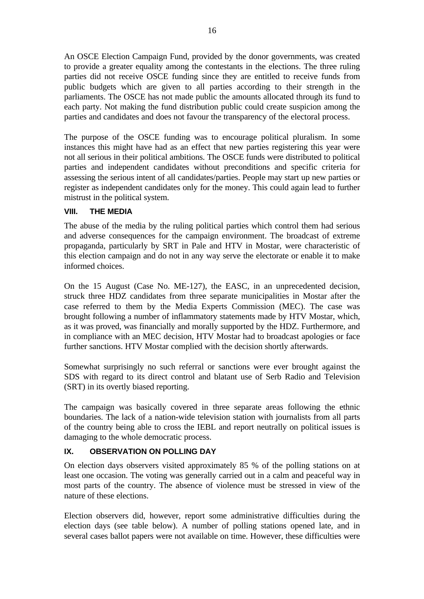An OSCE Election Campaign Fund, provided by the donor governments, was created to provide a greater equality among the contestants in the elections. The three ruling parties did not receive OSCE funding since they are entitled to receive funds from public budgets which are given to all parties according to their strength in the parliaments. The OSCE has not made public the amounts allocated through its fund to each party. Not making the fund distribution public could create suspicion among the parties and candidates and does not favour the transparency of the electoral process.

The purpose of the OSCE funding was to encourage political pluralism. In some instances this might have had as an effect that new parties registering this year were not all serious in their political ambitions. The OSCE funds were distributed to political parties and independent candidates without preconditions and specific criteria for assessing the serious intent of all candidates/parties. People may start up new parties or register as independent candidates only for the money. This could again lead to further mistrust in the political system.

# **VIII. THE MEDIA**

The abuse of the media by the ruling political parties which control them had serious and adverse consequences for the campaign environment. The broadcast of extreme propaganda, particularly by SRT in Pale and HTV in Mostar, were characteristic of this election campaign and do not in any way serve the electorate or enable it to make informed choices.

On the 15 August (Case No. ME-127), the EASC, in an unprecedented decision, struck three HDZ candidates from three separate municipalities in Mostar after the case referred to them by the Media Experts Commission (MEC). The case was brought following a number of inflammatory statements made by HTV Mostar, which, as it was proved, was financially and morally supported by the HDZ. Furthermore, and in compliance with an MEC decision, HTV Mostar had to broadcast apologies or face further sanctions. HTV Mostar complied with the decision shortly afterwards.

Somewhat surprisingly no such referral or sanctions were ever brought against the SDS with regard to its direct control and blatant use of Serb Radio and Television (SRT) in its overtly biased reporting.

The campaign was basically covered in three separate areas following the ethnic boundaries. The lack of a nation-wide television station with journalists from all parts of the country being able to cross the IEBL and report neutrally on political issues is damaging to the whole democratic process.

# **IX. OBSERVATION ON POLLING DAY**

On election days observers visited approximately 85 % of the polling stations on at least one occasion. The voting was generally carried out in a calm and peaceful way in most parts of the country. The absence of violence must be stressed in view of the nature of these elections.

Election observers did, however, report some administrative difficulties during the election days (see table below). A number of polling stations opened late, and in several cases ballot papers were not available on time. However, these difficulties were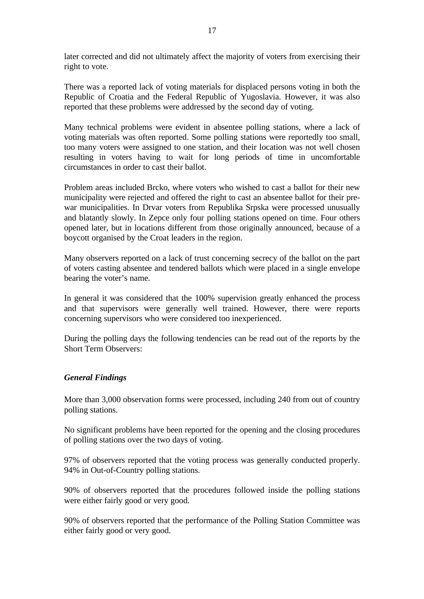later corrected and did not ultimately affect the majority of voters from exercising their right to vote.

There was a reported lack of voting materials for displaced persons voting in both the Republic of Croatia and the Federal Republic of Yugoslavia. However, it was also reported that these problems were addressed by the second day of voting.

Many technical problems were evident in absentee polling stations, where a lack of voting materials was often reported. Some polling stations were reportedly too small, too many voters were assigned to one station, and their location was not well chosen resulting in voters having to wait for long periods of time in uncomfortable circumstances in order to cast their ballot.

Problem areas included Brcko, where voters who wished to cast a ballot for their new municipality were rejected and offered the right to cast an absentee ballot for their prewar municipalities. In Drvar voters from Republika Srpska were processed unusually and blatantly slowly. In Zepce only four polling stations opened on time. Four others opened later, but in locations different from those originally announced, because of a boycott organised by the Croat leaders in the region.

Many observers reported on a lack of trust concerning secrecy of the ballot on the part of voters casting absentee and tendered ballots which were placed in a single envelope bearing the voter's name.

In general it was considered that the 100% supervision greatly enhanced the process and that supervisors were generally well trained. However, there were reports concerning supervisors who were considered too inexperienced.

During the polling days the following tendencies can be read out of the reports by the Short Term Observers:

#### *General Findings*

More than 3,000 observation forms were processed, including 240 from out of country polling stations.

No significant problems have been reported for the opening and the closing procedures of polling stations over the two days of voting.

97% of observers reported that the voting process was generally conducted properly. 94% in Out-of-Country polling stations.

90% of observers reported that the procedures followed inside the polling stations were either fairly good or very good.

90% of observers reported that the performance of the Polling Station Committee was either fairly good or very good.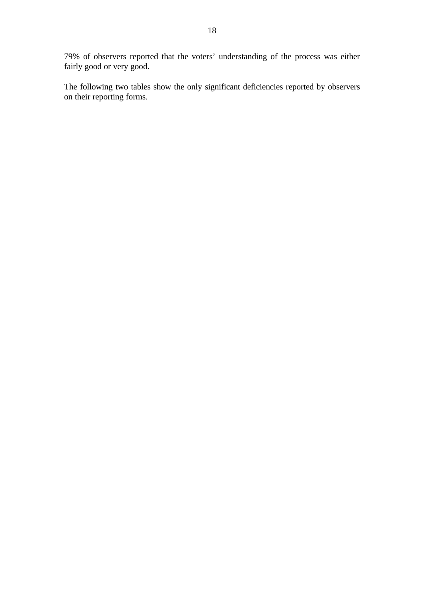79% of observers reported that the voters' understanding of the process was either fairly good or very good.

The following two tables show the only significant deficiencies reported by observers on their reporting forms.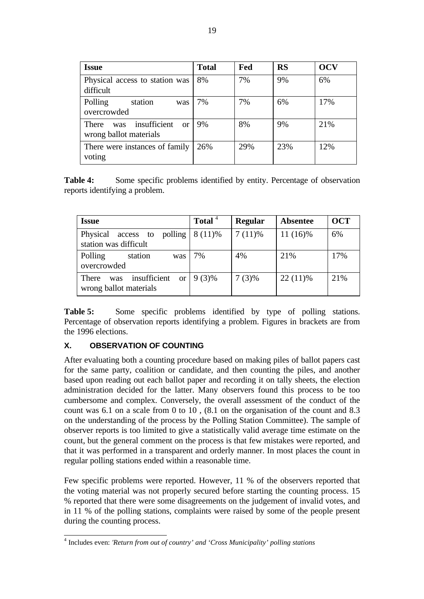| <b>Issue</b>                                              | <b>Total</b> | Fed | <b>RS</b> | <b>OCV</b> |
|-----------------------------------------------------------|--------------|-----|-----------|------------|
| Physical access to station was<br>difficult               | 8%           | 7%  | 9%        | 6%         |
| Polling<br>station<br>was<br>overcrowded                  | 7%           | 7%  | 6%        | 17%        |
| insufficient or<br>There<br>was<br>wrong ballot materials | 9%           | 8%  | 9%        | 21%        |
| There were instances of family<br>voting                  | 26%          | 29% | 23%       | 12%        |

**Table 4:** Some specific problems identified by entity. Percentage of observation reports identifying a problem.

| <b>Issue</b>                                                            | Total <sup>4</sup> | <b>Regular</b> | <b>Absentee</b> | <b>OCT</b> |
|-------------------------------------------------------------------------|--------------------|----------------|-----------------|------------|
| Physical<br>polling<br>access to<br>station was difficult               | $8(11)\%$          | $7(11)\%$      | 11 (16)%        | 6%         |
| Polling<br>station<br>was<br>overcrowded                                | 7%                 | 4%             | 21%             | 17%        |
| insufficient<br>There<br><sub>or</sub><br>was<br>wrong ballot materials | $9(3)\%$           | $7(3)\%$       | $22(11)\%$      | 21%        |

**Table 5:** Some specific problems identified by type of polling stations. Percentage of observation reports identifying a problem. Figures in brackets are from the 1996 elections.

# **X. OBSERVATION OF COUNTING**

After evaluating both a counting procedure based on making piles of ballot papers cast for the same party, coalition or candidate, and then counting the piles, and another based upon reading out each ballot paper and recording it on tally sheets, the election administration decided for the latter. Many observers found this process to be too cumbersome and complex. Conversely, the overall assessment of the conduct of the count was 6.1 on a scale from 0 to 10 , (8.1 on the organisation of the count and 8.3 on the understanding of the process by the Polling Station Committee). The sample of observer reports is too limited to give a statistically valid average time estimate on the count, but the general comment on the process is that few mistakes were reported, and that it was performed in a transparent and orderly manner. In most places the count in regular polling stations ended within a reasonable time.

Few specific problems were reported. However, 11 % of the observers reported that the voting material was not properly secured before starting the counting process. 15 % reported that there were some disagreements on the judgement of invalid votes, and in 11 % of the polling stations, complaints were raised by some of the people present during the counting process.

 4 Includes even: *'Return from out of country' and 'Cross Municipality' polling stations*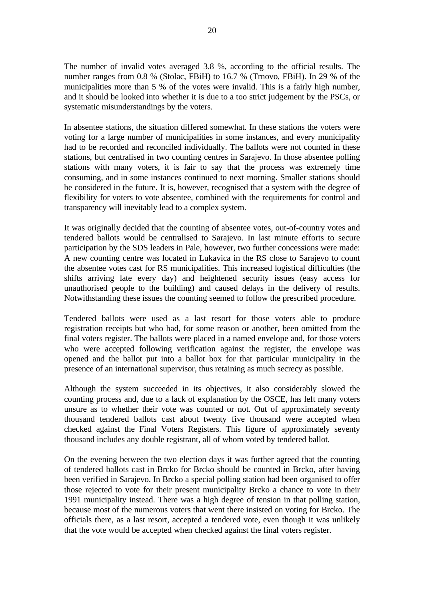The number of invalid votes averaged 3.8 %, according to the official results. The number ranges from 0.8 % (Stolac, FBiH) to 16.7 % (Trnovo, FBiH). In 29 % of the municipalities more than 5 % of the votes were invalid. This is a fairly high number, and it should be looked into whether it is due to a too strict judgement by the PSCs, or systematic misunderstandings by the voters.

In absentee stations, the situation differed somewhat. In these stations the voters were voting for a large number of municipalities in some instances, and every municipality had to be recorded and reconciled individually. The ballots were not counted in these stations, but centralised in two counting centres in Sarajevo. In those absentee polling stations with many voters, it is fair to say that the process was extremely time consuming, and in some instances continued to next morning. Smaller stations should be considered in the future. It is, however, recognised that a system with the degree of flexibility for voters to vote absentee, combined with the requirements for control and transparency will inevitably lead to a complex system.

It was originally decided that the counting of absentee votes, out-of-country votes and tendered ballots would be centralised to Sarajevo. In last minute efforts to secure participation by the SDS leaders in Pale, however, two further concessions were made: A new counting centre was located in Lukavica in the RS close to Sarajevo to count the absentee votes cast for RS municipalities. This increased logistical difficulties (the shifts arriving late every day) and heightened security issues (easy access for unauthorised people to the building) and caused delays in the delivery of results. Notwithstanding these issues the counting seemed to follow the prescribed procedure.

Tendered ballots were used as a last resort for those voters able to produce registration receipts but who had, for some reason or another, been omitted from the final voters register. The ballots were placed in a named envelope and, for those voters who were accepted following verification against the register, the envelope was opened and the ballot put into a ballot box for that particular municipality in the presence of an international supervisor, thus retaining as much secrecy as possible.

Although the system succeeded in its objectives, it also considerably slowed the counting process and, due to a lack of explanation by the OSCE, has left many voters unsure as to whether their vote was counted or not. Out of approximately seventy thousand tendered ballots cast about twenty five thousand were accepted when checked against the Final Voters Registers. This figure of approximately seventy thousand includes any double registrant, all of whom voted by tendered ballot.

On the evening between the two election days it was further agreed that the counting of tendered ballots cast in Brcko for Brcko should be counted in Brcko, after having been verified in Sarajevo. In Brcko a special polling station had been organised to offer those rejected to vote for their present municipality Brcko a chance to vote in their 1991 municipality instead. There was a high degree of tension in that polling station, because most of the numerous voters that went there insisted on voting for Brcko. The officials there, as a last resort, accepted a tendered vote, even though it was unlikely that the vote would be accepted when checked against the final voters register.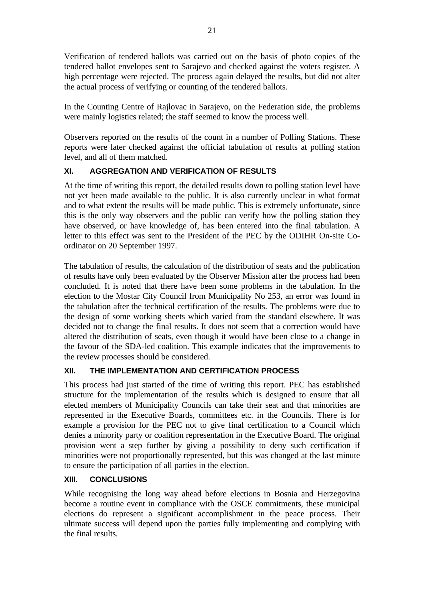Verification of tendered ballots was carried out on the basis of photo copies of the tendered ballot envelopes sent to Sarajevo and checked against the voters register. A high percentage were rejected. The process again delayed the results, but did not alter the actual process of verifying or counting of the tendered ballots.

In the Counting Centre of Rajlovac in Sarajevo, on the Federation side, the problems were mainly logistics related; the staff seemed to know the process well.

Observers reported on the results of the count in a number of Polling Stations. These reports were later checked against the official tabulation of results at polling station level, and all of them matched.

# **XI. AGGREGATION AND VERIFICATION OF RESULTS**

At the time of writing this report, the detailed results down to polling station level have not yet been made available to the public. It is also currently unclear in what format and to what extent the results will be made public. This is extremely unfortunate, since this is the only way observers and the public can verify how the polling station they have observed, or have knowledge of, has been entered into the final tabulation. A letter to this effect was sent to the President of the PEC by the ODIHR On-site Coordinator on 20 September 1997.

The tabulation of results, the calculation of the distribution of seats and the publication of results have only been evaluated by the Observer Mission after the process had been concluded. It is noted that there have been some problems in the tabulation. In the election to the Mostar City Council from Municipality No 253, an error was found in the tabulation after the technical certification of the results. The problems were due to the design of some working sheets which varied from the standard elsewhere. It was decided not to change the final results. It does not seem that a correction would have altered the distribution of seats, even though it would have been close to a change in the favour of the SDA-led coalition. This example indicates that the improvements to the review processes should be considered.

# **XII. THE IMPLEMENTATION AND CERTIFICATION PROCESS**

This process had just started of the time of writing this report. PEC has established structure for the implementation of the results which is designed to ensure that all elected members of Municipality Councils can take their seat and that minorities are represented in the Executive Boards, committees etc. in the Councils. There is for example a provision for the PEC not to give final certification to a Council which denies a minority party or coalition representation in the Executive Board. The original provision went a step further by giving a possibility to deny such certification if minorities were not proportionally represented, but this was changed at the last minute to ensure the participation of all parties in the election.

# **XIII. CONCLUSIONS**

While recognising the long way ahead before elections in Bosnia and Herzegovina become a routine event in compliance with the OSCE commitments, these municipal elections do represent a significant accomplishment in the peace process. Their ultimate success will depend upon the parties fully implementing and complying with the final results.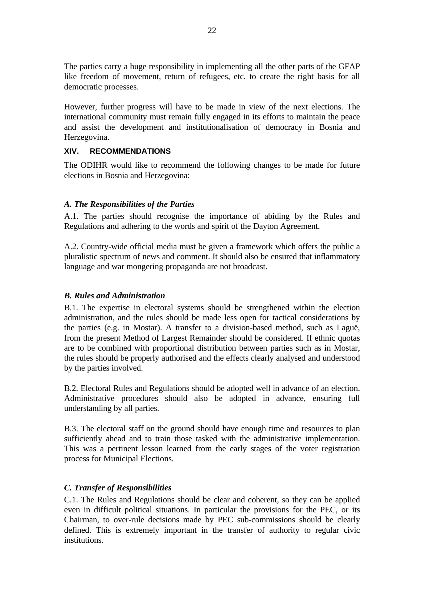The parties carry a huge responsibility in implementing all the other parts of the GFAP like freedom of movement, return of refugees, etc. to create the right basis for all democratic processes.

However, further progress will have to be made in view of the next elections. The international community must remain fully engaged in its efforts to maintain the peace and assist the development and institutionalisation of democracy in Bosnia and Herzegovina.

#### **XIV. RECOMMENDATIONS**

The ODIHR would like to recommend the following changes to be made for future elections in Bosnia and Herzegovina:

## *A. The Responsibilities of the Parties*

A.1. The parties should recognise the importance of abiding by the Rules and Regulations and adhering to the words and spirit of the Dayton Agreement.

A.2. Country-wide official media must be given a framework which offers the public a pluralistic spectrum of news and comment. It should also be ensured that inflammatory language and war mongering propaganda are not broadcast.

#### *B. Rules and Administration*

B.1. The expertise in electoral systems should be strengthened within the election administration, and the rules should be made less open for tactical considerations by the parties (e.g. in Mostar). A transfer to a division-based method, such as Laguë, from the present Method of Largest Remainder should be considered. If ethnic quotas are to be combined with proportional distribution between parties such as in Mostar, the rules should be properly authorised and the effects clearly analysed and understood by the parties involved.

B.2. Electoral Rules and Regulations should be adopted well in advance of an election. Administrative procedures should also be adopted in advance, ensuring full understanding by all parties.

B.3. The electoral staff on the ground should have enough time and resources to plan sufficiently ahead and to train those tasked with the administrative implementation. This was a pertinent lesson learned from the early stages of the voter registration process for Municipal Elections.

# *C. Transfer of Responsibilities*

C.1. The Rules and Regulations should be clear and coherent, so they can be applied even in difficult political situations. In particular the provisions for the PEC, or its Chairman, to over-rule decisions made by PEC sub-commissions should be clearly defined. This is extremely important in the transfer of authority to regular civic institutions.